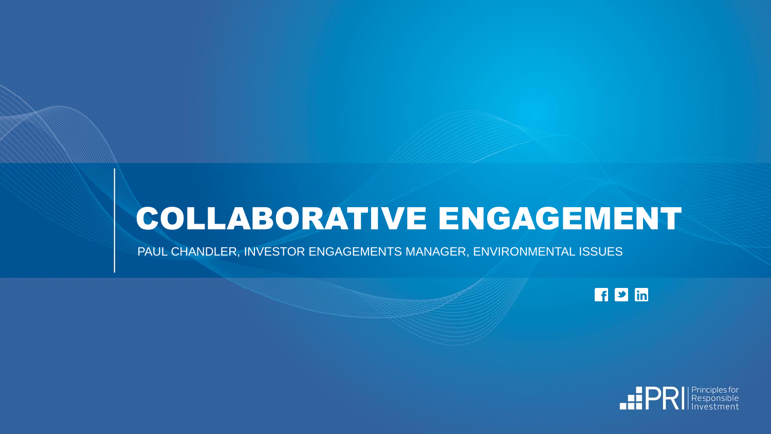# COLLABORATIVE ENGAGEMENT

PAUL CHANDLER, INVESTOR ENGAGEMENTS MANAGER, ENVIRONMENTAL ISSUES

 $F \nightharpoonup$  in

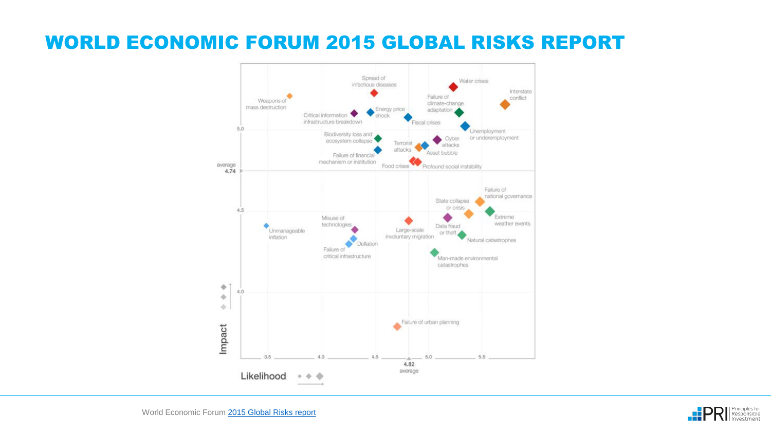#### WORLD ECONOMIC FORUM 2015 GLOBAL RISKS REPORT

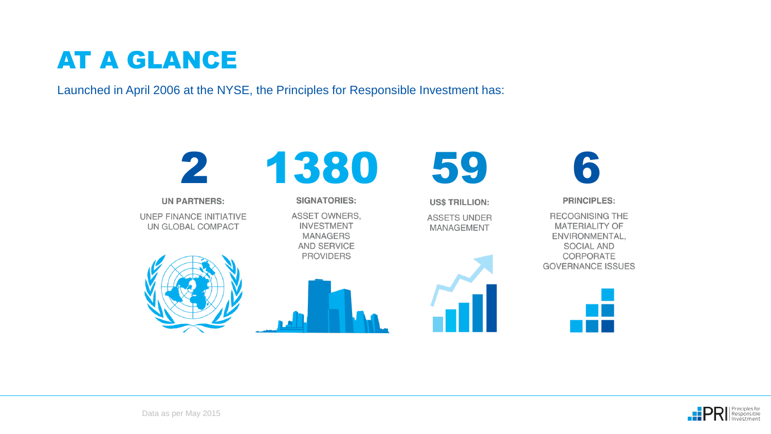## AT A GLANCE

Launched in April 2006 at the NYSE, the Principles for Responsible Investment has:



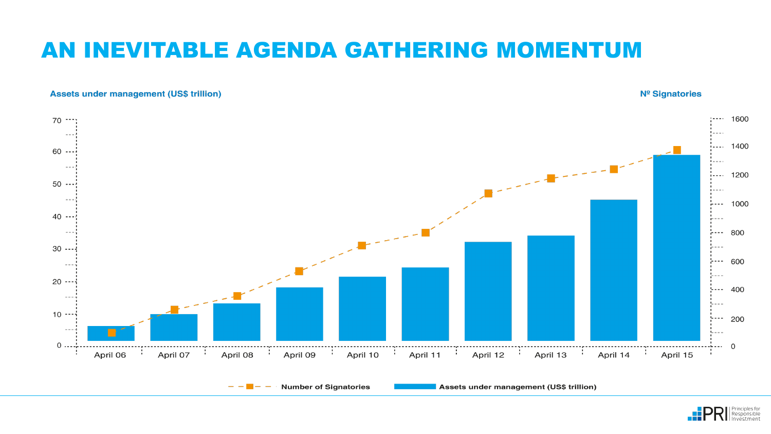### AN INEVITABLE AGENDA GATHERING MOMENTUM

#### **Assets under management (US\$ trillion)**

#### Nº Signatories



**Number of Signatories** 

Assets under management (US\$ trillion)

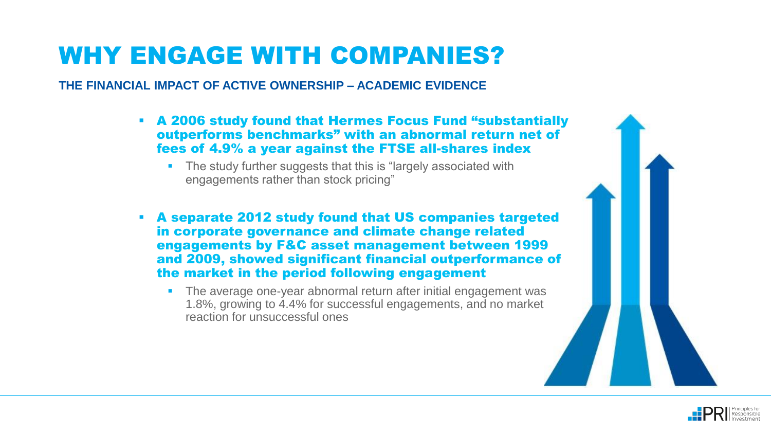## WHY ENGAGE WITH COMPANIES?

**THE FINANCIAL IMPACT OF ACTIVE OWNERSHIP – ACADEMIC EVIDENCE**

- A 2006 study found that Hermes Focus Fund "substantially outperforms benchmarks" with an abnormal return net of fees of 4.9% a year against the FTSE all-shares index
	- The study further suggests that this is "largely associated with engagements rather than stock pricing"
- A separate 2012 study found that US companies targeted in corporate governance and climate change related engagements by F&C asset management between 1999 and 2009, showed significant financial outperformance of the market in the period following engagement
	- The average one-year abnormal return after initial engagement was 1.8%, growing to 4.4% for successful engagements, and no market reaction for unsuccessful ones



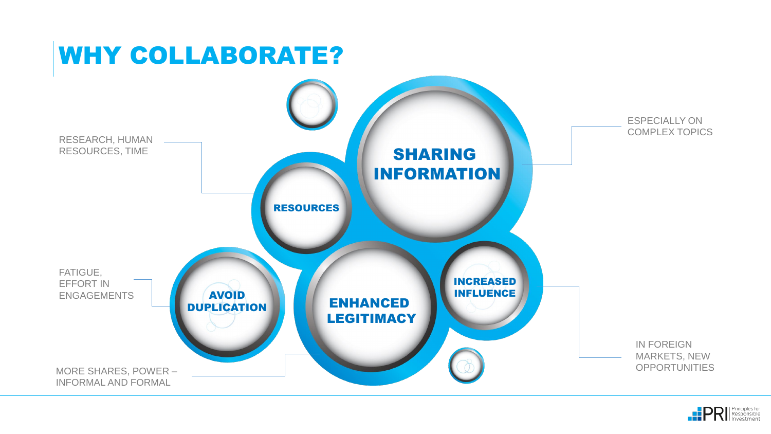

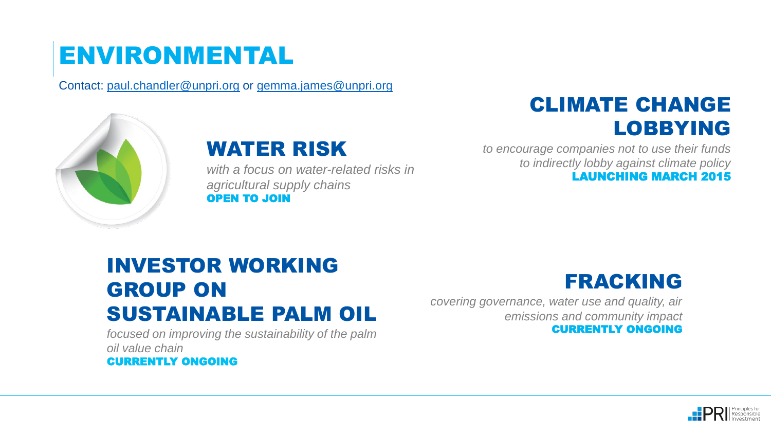## ENVIRONMENTAL

Contact: [paul.chandler@unpri.org](mailto:paul.chandler@unpri.org) or [gemma.james@unpri.org](mailto:gemma.james@unpri.org)



#### WATER RISK

*with a focus on water-related risks in agricultural supply chains* OPEN TO JOIN

#### CLIMATE CHANGE LOBBYING

*to encourage companies not to use their funds to indirectly lobby against climate policy* LAUNCHING MARCH 2015

#### INVESTOR WORKING GROUP ON SUSTAINABLE PALM OIL

*focused on improving the sustainability of the palm oil value chain*  CURRENTLY ONGOING

#### FRACKING

*covering governance, water use and quality, air emissions and community impact* CURRENTLY ONGOING

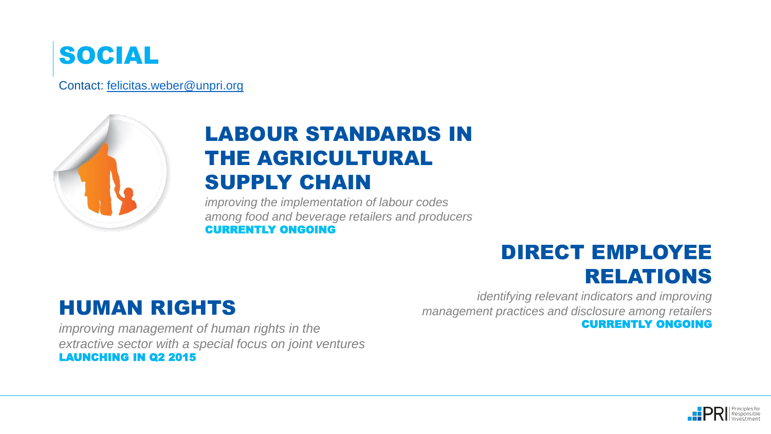

Contact: [felicitas.weber@unpri.org](mailto:felicitas.weber@unpri.org)



### LABOUR STANDARDS IN THE AGRICULTURAL SUPPLY CHAIN

*improving the implementation of labour codes among food and beverage retailers and producers*  CURRENTLY ONGOING

#### DIRECT EMPLOYEE RELATIONS

#### HUMAN RIGHTS

*improving management of human rights in the extractive sector with a special focus on joint ventures*  LAUNCHING IN Q2 2015

*identifying relevant indicators and improving management practices and disclosure among retailers* CURRENTLY ONGOING

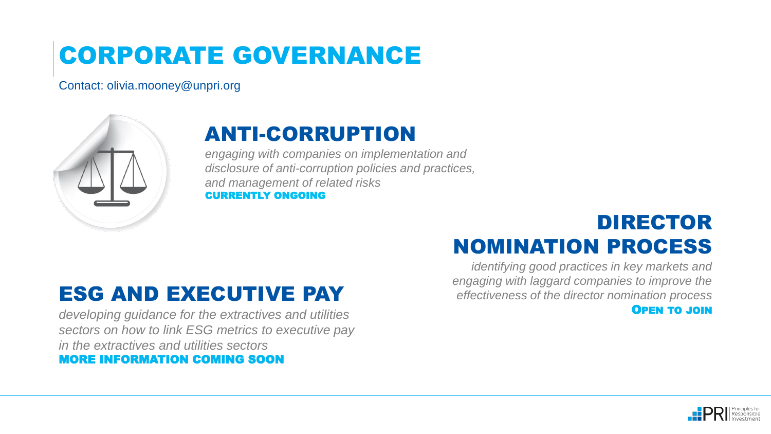## CORPORATE GOVERNANCE

Contact: olivia.mooney@unpri.org



### ANTI-CORRUPTION

*engaging with companies on implementation and disclosure of anti-corruption policies and practices, and management of related risks*  CURRENTLY ONGOING

#### DIRECTOR NOMINATION PROCESS

*identifying good practices in key markets and engaging with laggard companies to improve the effectiveness of the director nomination process* OPEN TO JOIN

### ESG AND EXECUTIVE PAY

*developing guidance for the extractives and utilities sectors on how to link ESG metrics to executive pay in the extractives and utilities sectors*  MORE INFORMATION COMING SOON

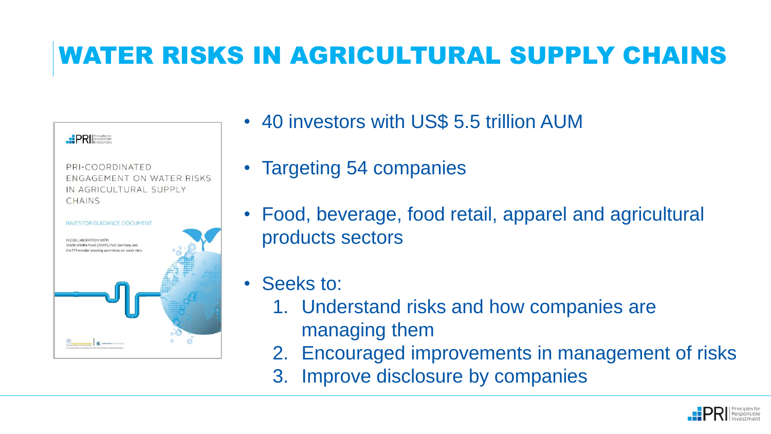## WATER RISKS IN AGRICULTURAL SUPPLY CHAINS

| <b>PRI</b> Responsible                                                                                                     |  |
|----------------------------------------------------------------------------------------------------------------------------|--|
| PRI-COORDINATED<br>ENGAGEMENT ON WATER RISKS<br>IN AGRICULTURAL SUPPLY<br>CHAINS                                           |  |
| <b>INVESTOR GUIDANCE DOCUMENT</b>                                                                                          |  |
| IN COLLABORATION WITH:<br>World Wildlife Fund (WWF), PwC Germany and<br>the PRI investor steering committee on water risks |  |
| <b>Middel Reddem Florid II</b><br>mative in partnership with great meange installure and late Golbal Compact               |  |

- 40 investors with US\$ 5.5 trillion AUM
- Targeting 54 companies
- Food, beverage, food retail, apparel and agricultural products sectors
- Seeks to:
	- 1. Understand risks and how companies are managing them
	- 2. Encouraged improvements in management of risks
	- 3. Improve disclosure by companies